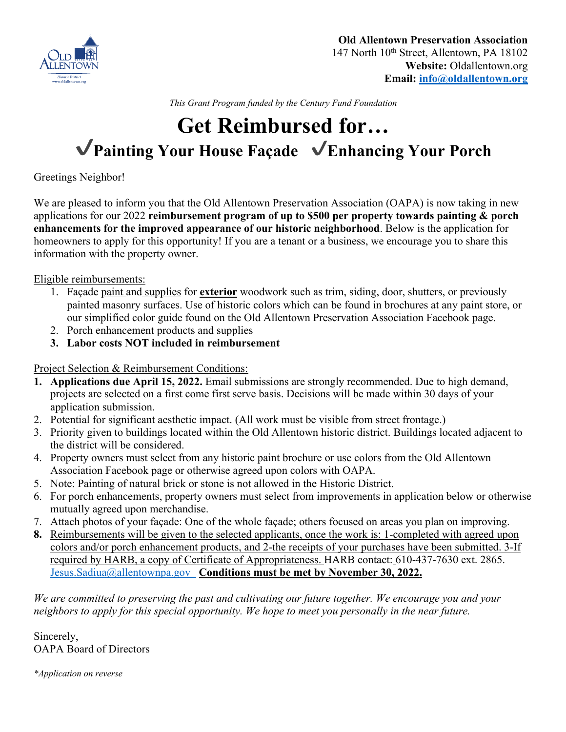

*This Grant Program funded by the Century Fund Foundation*

## **Get Reimbursed for…** ✔**Painting Your House Façade** ✔**Enhancing Your Porch**

Greetings Neighbor!

We are pleased to inform you that the Old Allentown Preservation Association (OAPA) is now taking in new applications for our 2022 **reimbursement program of up to \$500 per property towards painting & porch enhancements for the improved appearance of our historic neighborhood**. Below is the application for homeowners to apply for this opportunity! If you are a tenant or a business, we encourage you to share this information with the property owner.

Eligible reimbursements:

- 1. Façade paint and supplies for **exterior** woodwork such as trim, siding, door, shutters, or previously painted masonry surfaces. Use of historic colors which can be found in brochures at any paint store, or our simplified color guide found on the Old Allentown Preservation Association Facebook page.
- 2. Porch enhancement products and supplies
- **3. Labor costs NOT included in reimbursement**

Project Selection & Reimbursement Conditions:

- **1. Applications due April 15, 2022.** Email submissions are strongly recommended. Due to high demand, projects are selected on a first come first serve basis. Decisions will be made within 30 days of your application submission.
- 2. Potential for significant aesthetic impact. (All work must be visible from street frontage.)
- 3. Priority given to buildings located within the Old Allentown historic district. Buildings located adjacent to the district will be considered.
- 4. Property owners must select from any historic paint brochure or use colors from the Old Allentown Association Facebook page or otherwise agreed upon colors with OAPA.
- 5. Note: Painting of natural brick or stone is not allowed in the Historic District.
- 6. For porch enhancements, property owners must select from improvements in application below or otherwise mutually agreed upon merchandise.
- 7. Attach photos of your façade: One of the whole façade; others focused on areas you plan on improving.
- **8.** Reimbursements will be given to the selected applicants, once the work is: 1-completed with agreed upon colors and/or porch enhancement products, and 2-the receipts of your purchases have been submitted. 3-If required by HARB, a copy of Certificate of Appropriateness. HARB contact: 610-437-7630 ext. 2865. Jesus.Sadiua@allentownpa.gov **Conditions must be met by November 30, 2022.**

*We are committed to preserving the past and cultivating our future together. We encourage you and your neighbors to apply for this special opportunity. We hope to meet you personally in the near future.*

Sincerely, OAPA Board of Directors

*\*Application on reverse*